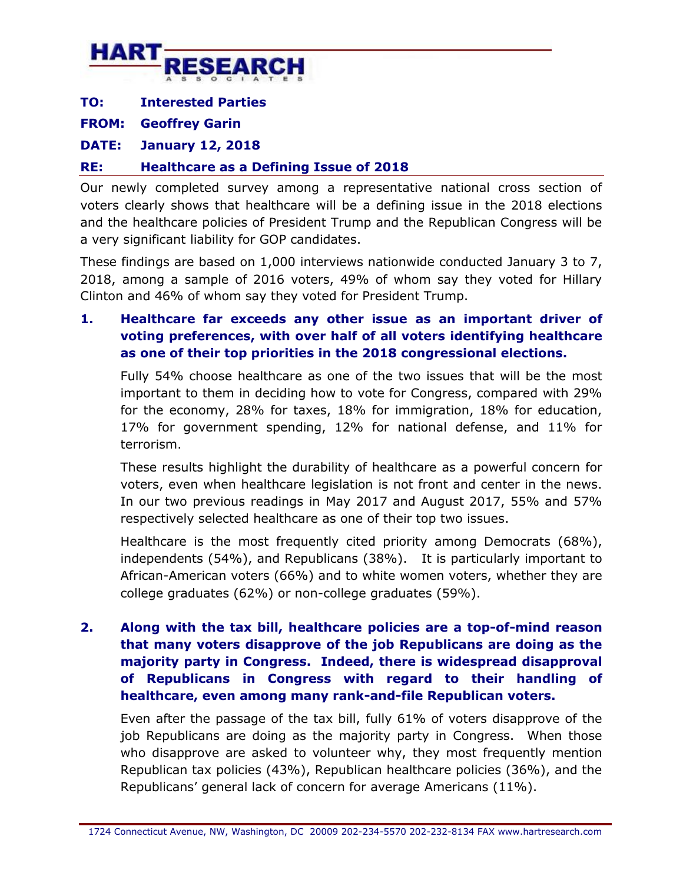

**TO: Interested Parties** 

**FROM: Geoffrey Garin** 

**DATE: January 12, 2018** 

## **RE: Healthcare as a Defining Issue of 2018**

Our newly completed survey among a representative national cross section of voters clearly shows that healthcare will be a defining issue in the 2018 elections and the healthcare policies of President Trump and the Republican Congress will be a very significant liability for GOP candidates.

These findings are based on 1,000 interviews nationwide conducted January 3 to 7, 2018, among a sample of 2016 voters, 49% of whom say they voted for Hillary Clinton and 46% of whom say they voted for President Trump.

## **1. Healthcare far exceeds any other issue as an important driver of voting preferences, with over half of all voters identifying healthcare as one of their top priorities in the 2018 congressional elections.**

Fully 54% choose healthcare as one of the two issues that will be the most important to them in deciding how to vote for Congress, compared with 29% for the economy, 28% for taxes, 18% for immigration, 18% for education, 17% for government spending, 12% for national defense, and 11% for terrorism.

These results highlight the durability of healthcare as a powerful concern for voters, even when healthcare legislation is not front and center in the news. In our two previous readings in May 2017 and August 2017, 55% and 57% respectively selected healthcare as one of their top two issues.

Healthcare is the most frequently cited priority among Democrats (68%), independents (54%), and Republicans (38%). It is particularly important to African-American voters (66%) and to white women voters, whether they are college graduates (62%) or non-college graduates (59%).

## **2. Along with the tax bill, healthcare policies are a top-of-mind reason that many voters disapprove of the job Republicans are doing as the majority party in Congress. Indeed, there is widespread disapproval of Republicans in Congress with regard to their handling of healthcare, even among many rank-and-file Republican voters.**

Even after the passage of the tax bill, fully 61% of voters disapprove of the job Republicans are doing as the majority party in Congress. When those who disapprove are asked to volunteer why, they most frequently mention Republican tax policies (43%), Republican healthcare policies (36%), and the Republicans' general lack of concern for average Americans (11%).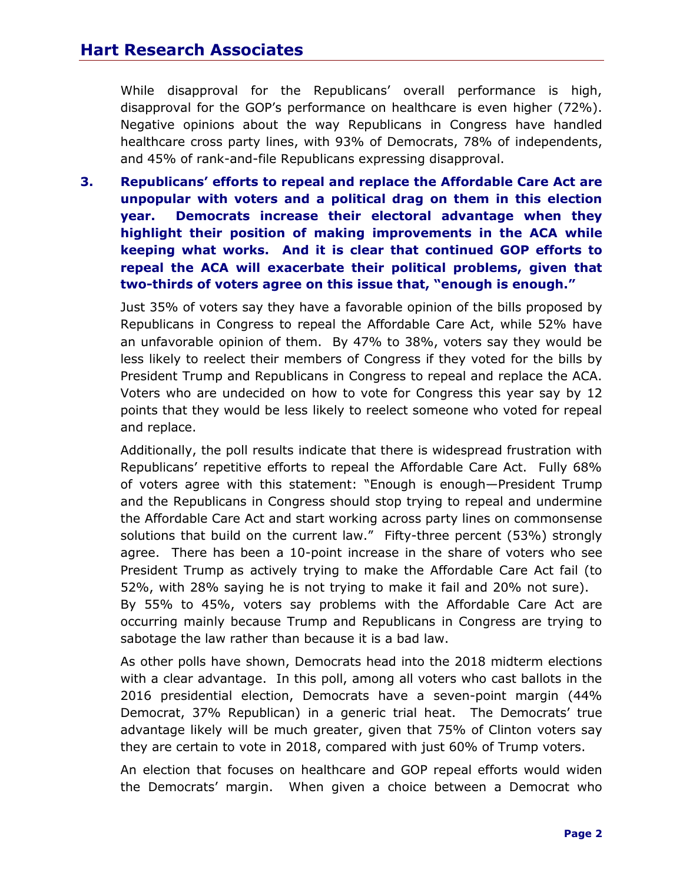While disapproval for the Republicans' overall performance is high, disapproval for the GOP's performance on healthcare is even higher (72%). Negative opinions about the way Republicans in Congress have handled healthcare cross party lines, with 93% of Democrats, 78% of independents, and 45% of rank-and-file Republicans expressing disapproval.

**3. Republicans' efforts to repeal and replace the Affordable Care Act are unpopular with voters and a political drag on them in this election year. Democrats increase their electoral advantage when they highlight their position of making improvements in the ACA while keeping what works. And it is clear that continued GOP efforts to repeal the ACA will exacerbate their political problems, given that two-thirds of voters agree on this issue that, "enough is enough."**

Just 35% of voters say they have a favorable opinion of the bills proposed by Republicans in Congress to repeal the Affordable Care Act, while 52% have an unfavorable opinion of them. By 47% to 38%, voters say they would be less likely to reelect their members of Congress if they voted for the bills by President Trump and Republicans in Congress to repeal and replace the ACA. Voters who are undecided on how to vote for Congress this year say by 12 points that they would be less likely to reelect someone who voted for repeal and replace.

Additionally, the poll results indicate that there is widespread frustration with Republicans' repetitive efforts to repeal the Affordable Care Act. Fully 68% of voters agree with this statement: "Enough is enough—President Trump and the Republicans in Congress should stop trying to repeal and undermine the Affordable Care Act and start working across party lines on commonsense solutions that build on the current law." Fifty-three percent (53%) strongly agree. There has been a 10-point increase in the share of voters who see President Trump as actively trying to make the Affordable Care Act fail (to 52%, with 28% saying he is not trying to make it fail and 20% not sure). By 55% to 45%, voters say problems with the Affordable Care Act are occurring mainly because Trump and Republicans in Congress are trying to sabotage the law rather than because it is a bad law.

As other polls have shown, Democrats head into the 2018 midterm elections with a clear advantage. In this poll, among all voters who cast ballots in the 2016 presidential election, Democrats have a seven-point margin (44% Democrat, 37% Republican) in a generic trial heat. The Democrats' true advantage likely will be much greater, given that 75% of Clinton voters say they are certain to vote in 2018, compared with just 60% of Trump voters.

An election that focuses on healthcare and GOP repeal efforts would widen the Democrats' margin. When given a choice between a Democrat who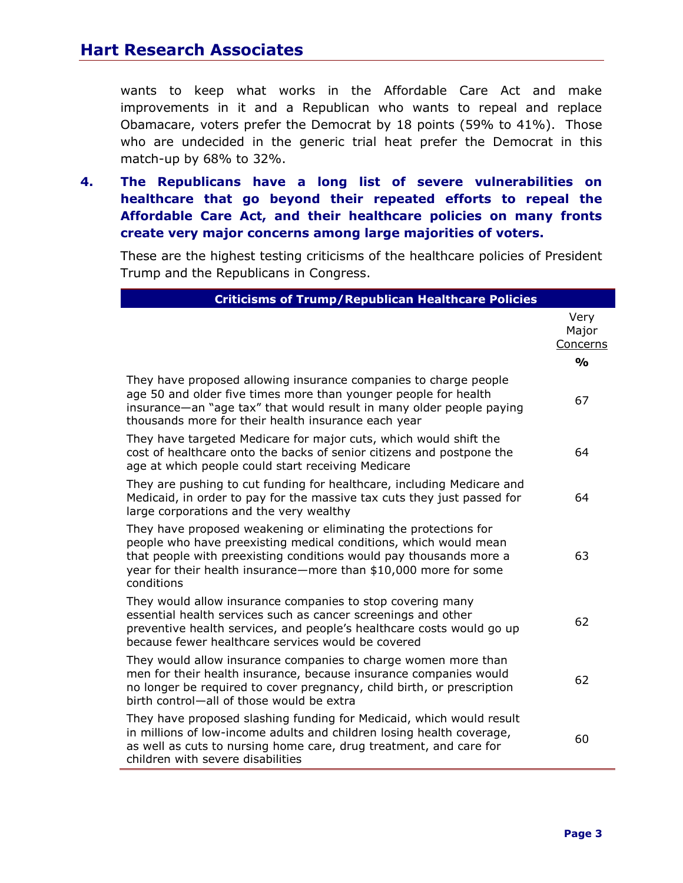wants to keep what works in the Affordable Care Act and make improvements in it and a Republican who wants to repeal and replace Obamacare, voters prefer the Democrat by 18 points (59% to 41%). Those who are undecided in the generic trial heat prefer the Democrat in this match-up by 68% to 32%.

**4. The Republicans have a long list of severe vulnerabilities on healthcare that go beyond their repeated efforts to repeal the Affordable Care Act, and their healthcare policies on many fronts create very major concerns among large majorities of voters.**

These are the highest testing criticisms of the healthcare policies of President Trump and the Republicans in Congress.

| <b>Criticisms of Trump/Republican Healthcare Policies</b>                                                                                                                                                                                                                                   |                           |
|---------------------------------------------------------------------------------------------------------------------------------------------------------------------------------------------------------------------------------------------------------------------------------------------|---------------------------|
|                                                                                                                                                                                                                                                                                             | Very<br>Major<br>Concerns |
|                                                                                                                                                                                                                                                                                             | $\frac{0}{0}$             |
| They have proposed allowing insurance companies to charge people<br>age 50 and older five times more than younger people for health<br>insurance—an "age tax" that would result in many older people paying<br>thousands more for their health insurance each year                          | 67                        |
| They have targeted Medicare for major cuts, which would shift the<br>cost of healthcare onto the backs of senior citizens and postpone the<br>age at which people could start receiving Medicare                                                                                            | 64                        |
| They are pushing to cut funding for healthcare, including Medicare and<br>Medicaid, in order to pay for the massive tax cuts they just passed for<br>large corporations and the very wealthy                                                                                                | 64                        |
| They have proposed weakening or eliminating the protections for<br>people who have preexisting medical conditions, which would mean<br>that people with preexisting conditions would pay thousands more a<br>year for their health insurance-more than \$10,000 more for some<br>conditions | 63                        |
| They would allow insurance companies to stop covering many<br>essential health services such as cancer screenings and other<br>preventive health services, and people's healthcare costs would go up<br>because fewer healthcare services would be covered                                  | 62                        |
| They would allow insurance companies to charge women more than<br>men for their health insurance, because insurance companies would<br>no longer be required to cover pregnancy, child birth, or prescription<br>birth control-all of those would be extra                                  | 62                        |
| They have proposed slashing funding for Medicaid, which would result<br>in millions of low-income adults and children losing health coverage,<br>as well as cuts to nursing home care, drug treatment, and care for<br>children with severe disabilities                                    | 60                        |